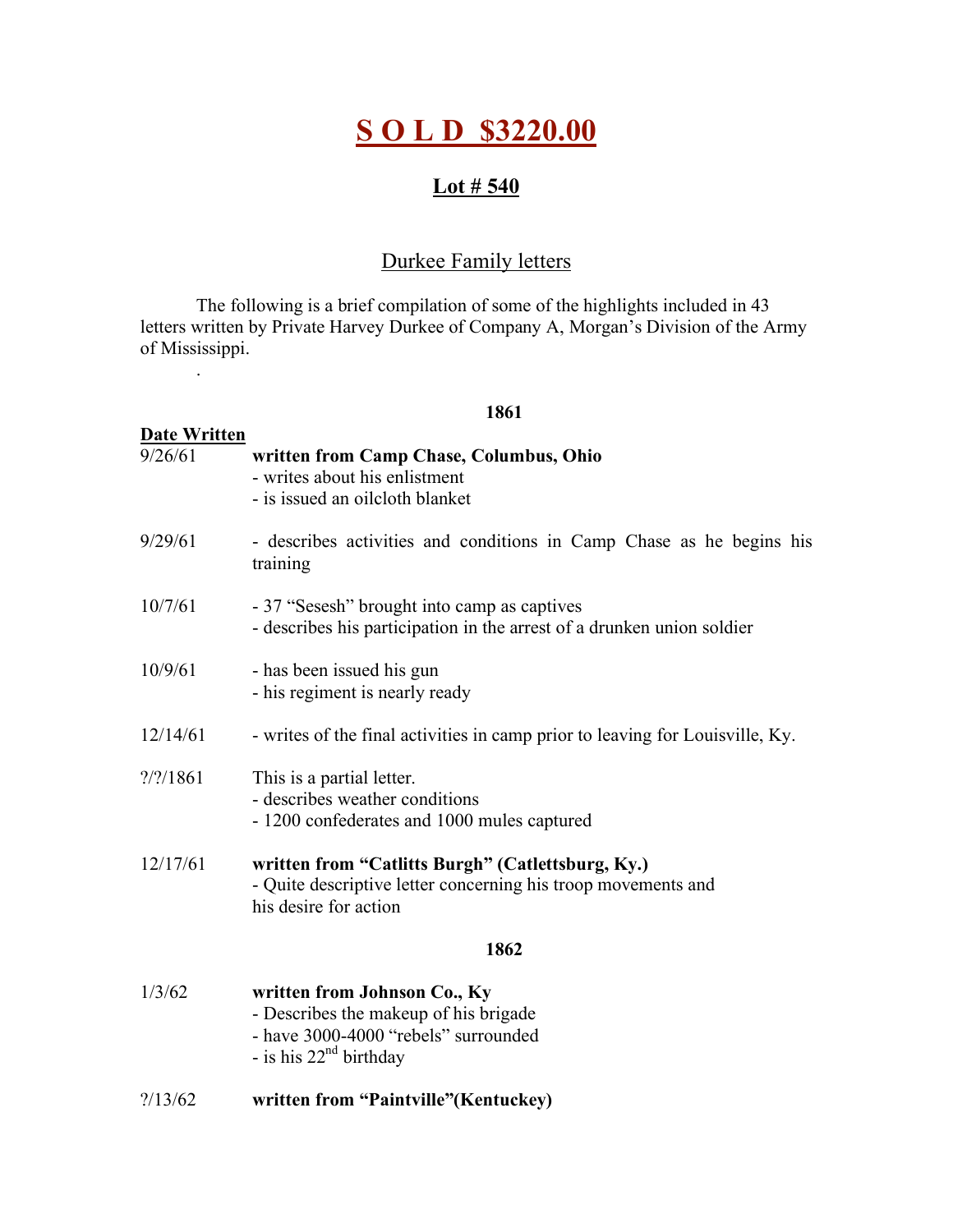# **S O L D \$3220.00**

### **Lot # 540**

## Durkee Family letters

The following is a brief compilation of some of the highlights included in 43 letters written by Private Harvey Durkee of Company A, Morgan's Division of the Army of Mississippi.

.

#### **1861**

| <b>Date Written</b>          |                                                                                                                                             |
|------------------------------|---------------------------------------------------------------------------------------------------------------------------------------------|
| 9/26/61                      | written from Camp Chase, Columbus, Ohio<br>- writes about his enlistment<br>- is issued an oilcloth blanket                                 |
| 9/29/61                      | - describes activities and conditions in Camp Chase as he begins his<br>training                                                            |
| 10/7/61                      | - 37 "Sesesh" brought into camp as captives<br>- describes his participation in the arrest of a drunken union soldier                       |
| 10/9/61                      | - has been issued his gun<br>- his regiment is nearly ready                                                                                 |
| 12/14/61                     | - writes of the final activities in camp prior to leaving for Louisville, Ky.                                                               |
| $\frac{7}{2}/\frac{1861}{1}$ | This is a partial letter.<br>- describes weather conditions<br>- 1200 confederates and 1000 mules captured                                  |
| 12/17/61                     | written from "Catlitts Burgh" (Catlettsburg, Ky.)<br>- Quite descriptive letter concerning his troop movements and<br>his desire for action |
|                              | 1862                                                                                                                                        |
| 1/3/62                       | written from Johnson Co., Ky<br>- Describes the makeup of his brigade<br>- have 3000-4000 "rebels" surrounded<br>- is his $22nd$ birthday   |

?/13/62 **written from "Paintville"(Kentuckey)**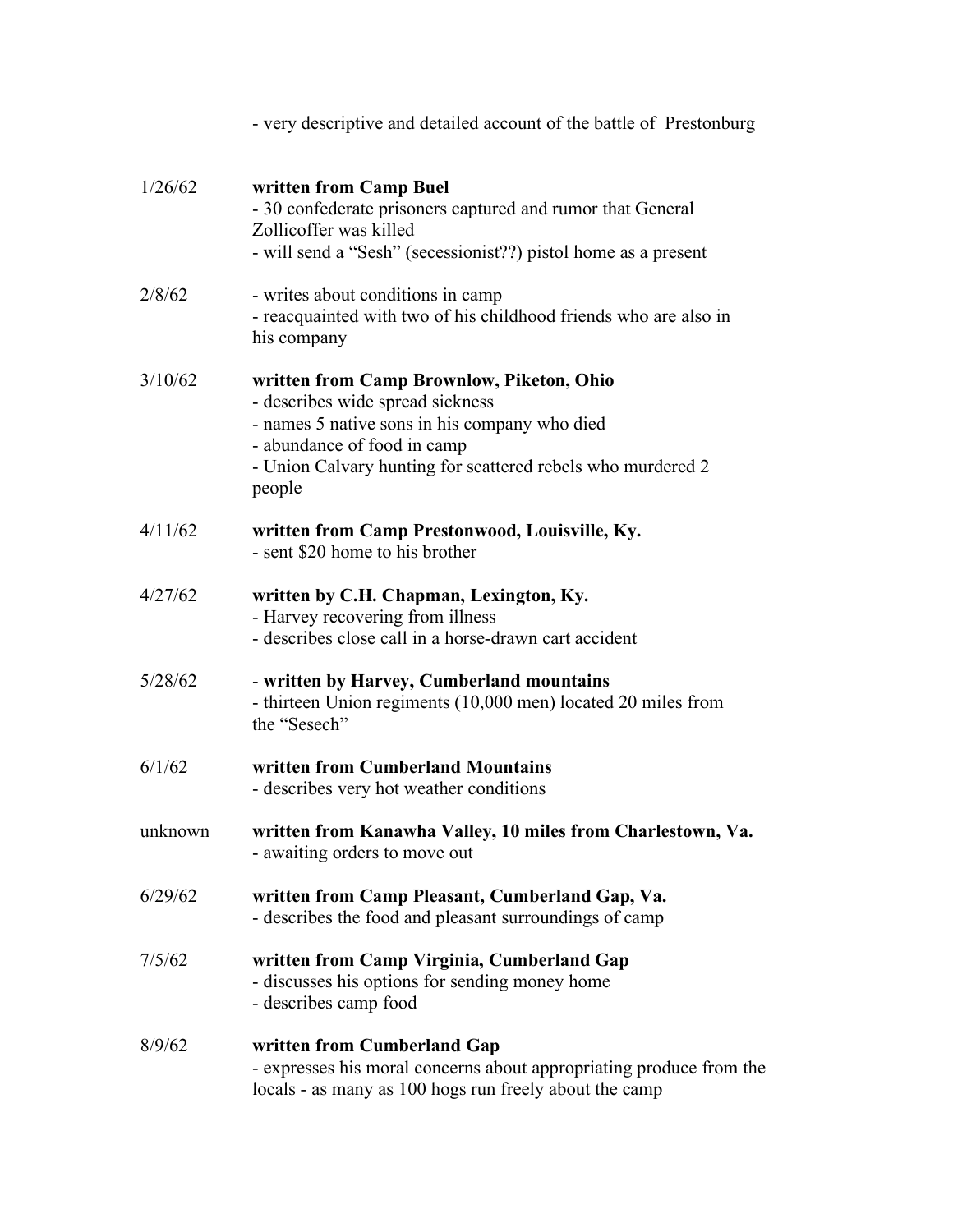|         | - very descriptive and detailed account of the battle of Prestonburg                                                                                                                                                                   |
|---------|----------------------------------------------------------------------------------------------------------------------------------------------------------------------------------------------------------------------------------------|
| 1/26/62 | written from Camp Buel<br>- 30 confederate prisoners captured and rumor that General<br>Zollicoffer was killed<br>- will send a "Sesh" (secessionist??) pistol home as a present                                                       |
| 2/8/62  | - writes about conditions in camp<br>- reacquainted with two of his childhood friends who are also in<br>his company                                                                                                                   |
| 3/10/62 | written from Camp Brownlow, Piketon, Ohio<br>- describes wide spread sickness<br>- names 5 native sons in his company who died<br>- abundance of food in camp<br>- Union Calvary hunting for scattered rebels who murdered 2<br>people |
| 4/11/62 | written from Camp Prestonwood, Louisville, Ky.<br>- sent \$20 home to his brother                                                                                                                                                      |
| 4/27/62 | written by C.H. Chapman, Lexington, Ky.<br>- Harvey recovering from illness<br>- describes close call in a horse-drawn cart accident                                                                                                   |
| 5/28/62 | - written by Harvey, Cumberland mountains<br>- thirteen Union regiments (10,000 men) located 20 miles from<br>the "Sesech"                                                                                                             |
| 6/1/62  | written from Cumberland Mountains<br>- describes very hot weather conditions                                                                                                                                                           |
| unknown | written from Kanawha Valley, 10 miles from Charlestown, Va.<br>- awaiting orders to move out                                                                                                                                           |
| 6/29/62 | written from Camp Pleasant, Cumberland Gap, Va.<br>- describes the food and pleasant surroundings of camp                                                                                                                              |
| 7/5/62  | written from Camp Virginia, Cumberland Gap<br>- discusses his options for sending money home<br>- describes camp food                                                                                                                  |
| 8/9/62  | written from Cumberland Gap<br>- expresses his moral concerns about appropriating produce from the<br>locals - as many as 100 hogs run freely about the camp                                                                           |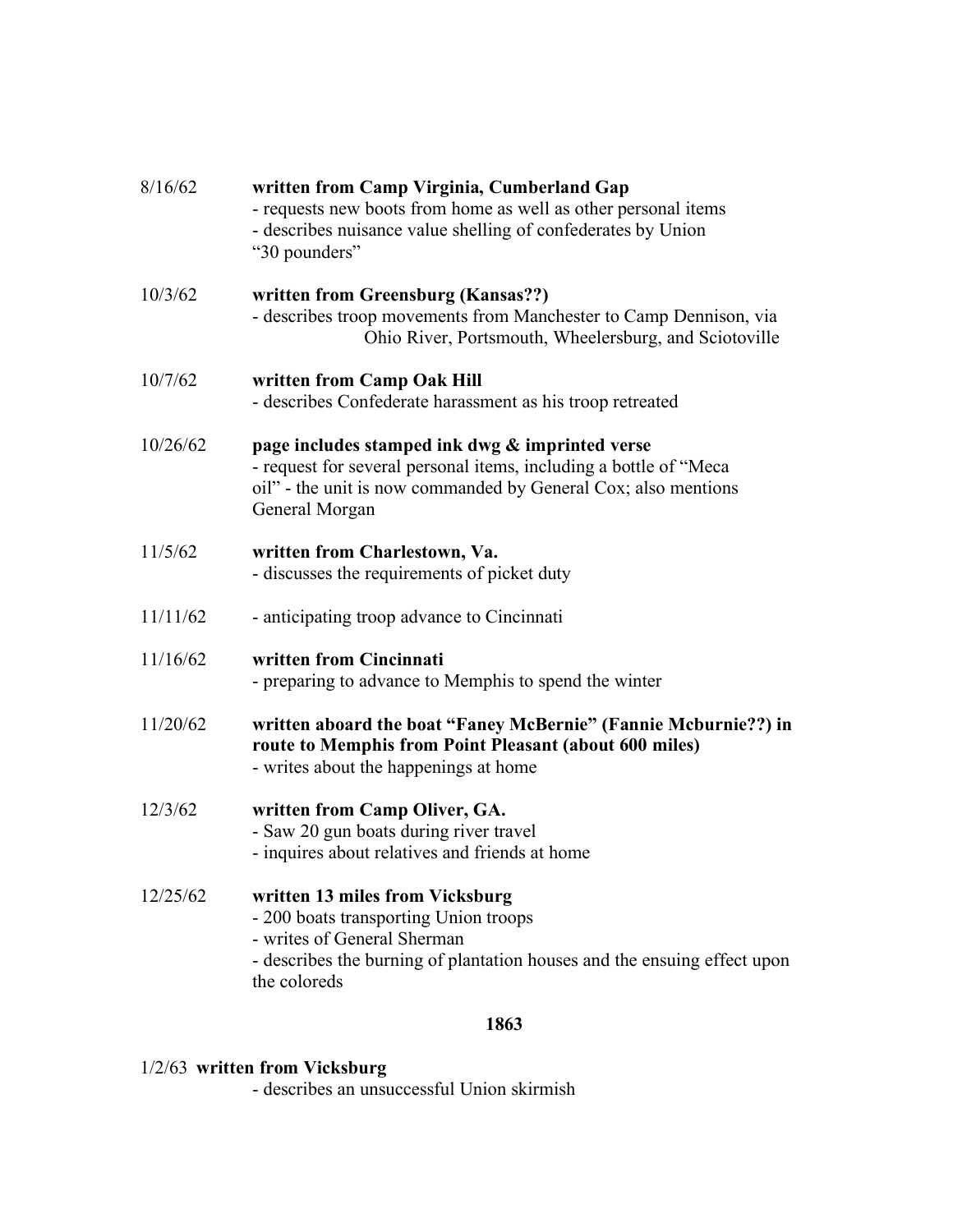| 8/16/62  | written from Camp Virginia, Cumberland Gap<br>- requests new boots from home as well as other personal items<br>- describes nuisance value shelling of confederates by Union<br>"30 pounders"            |
|----------|----------------------------------------------------------------------------------------------------------------------------------------------------------------------------------------------------------|
| 10/3/62  | written from Greensburg (Kansas??)<br>- describes troop movements from Manchester to Camp Dennison, via<br>Ohio River, Portsmouth, Wheelersburg, and Sciotoville                                         |
| 10/7/62  | written from Camp Oak Hill<br>- describes Confederate harassment as his troop retreated                                                                                                                  |
| 10/26/62 | page includes stamped ink dwg & imprinted verse<br>- request for several personal items, including a bottle of "Meca<br>oil" - the unit is now commanded by General Cox; also mentions<br>General Morgan |
| 11/5/62  | written from Charlestown, Va.<br>- discusses the requirements of picket duty                                                                                                                             |
| 11/11/62 | - anticipating troop advance to Cincinnati                                                                                                                                                               |
| 11/16/62 | written from Cincinnati<br>- preparing to advance to Memphis to spend the winter                                                                                                                         |
| 11/20/62 | written aboard the boat "Faney McBernie" (Fannie Mcburnie??) in<br>route to Memphis from Point Pleasant (about 600 miles)<br>- writes about the happenings at home                                       |
| 12/3/62  | written from Camp Oliver, GA.<br>- Saw 20 gun boats during river travel<br>- inquires about relatives and friends at home                                                                                |
| 12/25/62 | written 13 miles from Vicksburg<br>- 200 boats transporting Union troops<br>- writes of General Sherman<br>- describes the burning of plantation houses and the ensuing effect upon<br>the coloreds      |

#### **1863**

#### 1/2/63 **written from Vicksburg**

- describes an unsuccessful Union skirmish